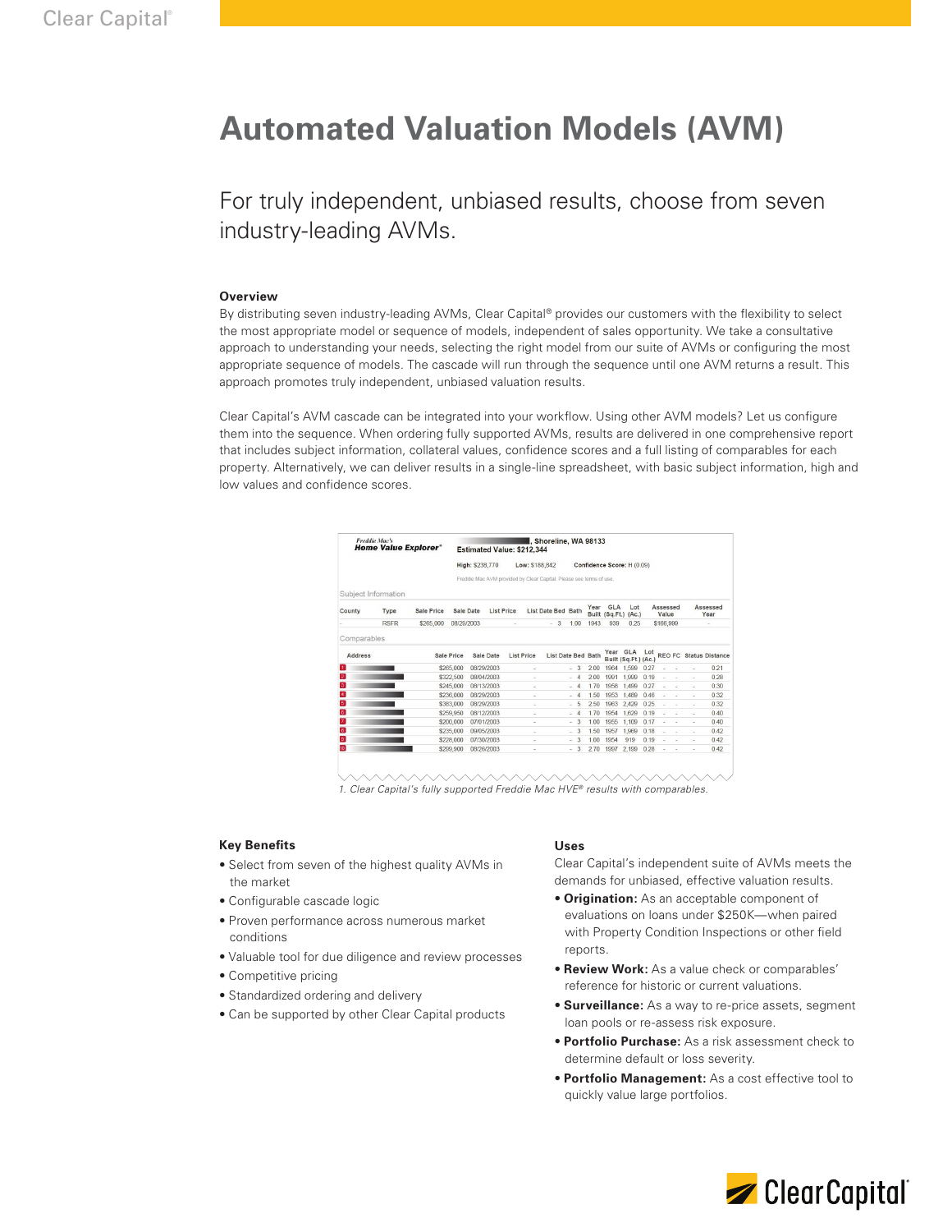# **Automated Valuation Models (AVM)**

For truly independent, unbiased results, choose from seven industry-leading AVMs.

#### **Overview**

By distributing seven industry-leading AVMs, Clear Capital® provides our customers with the flexibility to select the most appropriate model or sequence of models, independent of sales opportunity. We take a consultative approach to understanding your needs, selecting the right model from our suite of AVMs or configuring the most appropriate sequence of models. The cascade will run through the sequence until one AVM returns a result. This approach promotes truly independent, unbiased valuation results.

Clear Capital's AVM cascade can be integrated into your workflow. Using other AVM models? Let us configure them into the sequence. When ordering fully supported AVMs, results are delivered in one comprehensive report that includes subject information, collateral values, confidence scores and a full listing of comparables for each property. Alternatively, we can deliver results in a single-line spreadsheet, with basic subject information, high and low values and confidence scores.

| <b>Freddie Mac's</b><br><b>Home Value Explorer</b> <sup>®</sup> |                     |                   | , Shoreline, WA 98133<br>Estimated Value: \$212.344                 |                                |  |                   |        |                           |  |                            |                    |            |                                    |                   |    |                  |                               |      |
|-----------------------------------------------------------------|---------------------|-------------------|---------------------------------------------------------------------|--------------------------------|--|-------------------|--------|---------------------------|--|----------------------------|--------------------|------------|------------------------------------|-------------------|----|------------------|-------------------------------|------|
|                                                                 |                     |                   | High: \$238,770                                                     |                                |  | Low: \$188,842    |        |                           |  | Confidence Score: H (0.09) |                    |            |                                    |                   |    |                  |                               |      |
|                                                                 |                     |                   | Freddie Mac AVM provided by Clear Capital. Please see terms of use. |                                |  |                   |        |                           |  |                            |                    |            |                                    |                   |    |                  |                               |      |
|                                                                 | Subject Information |                   |                                                                     |                                |  |                   |        |                           |  |                            |                    |            |                                    |                   |    |                  |                               |      |
| County<br>Type                                                  |                     | <b>Sale Price</b> |                                                                     | Sale Date<br><b>List Price</b> |  |                   |        | <b>List Date Bed Bath</b> |  |                            | Year               | <b>GLA</b> | Lot<br>Built (Sq.Ft.) (Ac.)        | Assessed<br>Value |    | Assessed<br>Year |                               |      |
|                                                                 | <b>RSFR</b>         | \$265.000         | 08/29/2003                                                          |                                |  |                   |        | $-3$                      |  | 1.00                       | 1943               | 939        | 0.25                               | \$166.999         |    |                  |                               |      |
| Comparables                                                     |                     |                   |                                                                     |                                |  |                   |        |                           |  |                            |                    |            |                                    |                   |    |                  |                               |      |
| <b>Address</b>                                                  |                     |                   | Sale Price                                                          | Sale Date                      |  | <b>List Price</b> |        |                           |  |                            | List Date Bed Bath | Year       | <b>GLA</b><br>Built (Sq.Ft.) (Ac.) | Lot               |    |                  | <b>REO FC Status Distance</b> |      |
| n.                                                              |                     |                   | \$265,000                                                           | 08/29/2003                     |  |                   |        |                           |  | $-3$                       | 2.00               | 1964       | 1,599                              | 0.27              |    |                  |                               | 0.21 |
| $\overline{2}$                                                  |                     |                   | \$322,500                                                           | 08/04/2003                     |  |                   |        |                           |  | $-4$                       | 2.00               | 1991       | 1.999                              | 0.19              | ÷  | $\sim$           | ×.                            | 0.28 |
| 3                                                               |                     |                   | \$245.000                                                           | 08/13/2003                     |  |                   |        |                           |  | $-4$                       | 1.70               | 1958       | 1.499                              | 0.27              |    | $\sim$           | ÷                             | 0.30 |
| $\overline{4}$                                                  |                     |                   | \$236,000                                                           | 08/29/2003                     |  |                   | ٠      |                           |  | $-4$                       | 1.50               | 1953       | 1.489                              | 0.46              | u, | ÷                | ÷                             | 0.32 |
| 5                                                               |                     |                   | \$383,000                                                           | 08/29/2003                     |  |                   | ٠      |                           |  | $-5$                       | 2.50               | 1963       | 2.429                              | 0.25              |    |                  | à,                            | 0.32 |
| $6 \overline{6}$                                                |                     |                   | \$259,950                                                           | 08/12/2003                     |  |                   | ۰      |                           |  | - 4                        | 1.70               | 1954       | 1,629                              | 0.19              |    |                  | ٠                             | 0.40 |
| $\overline{z}$                                                  |                     |                   | \$200,000                                                           | 07/01/2003                     |  |                   | ٠      |                           |  | $-3$                       | 1.00               | 1955       | 1,109                              | 0.17              |    |                  | ×,                            | 0.40 |
| $\boxed{8}$                                                     |                     |                   | \$235.000                                                           | 09/05/2003                     |  |                   | $\sim$ |                           |  | 3<br>×.                    | 1.50               | 1957       | 1.969                              | 0.18              | ÷. | $\sim$           | $\sim$                        | 0.42 |
| $\bullet$                                                       |                     |                   | \$228,000                                                           | 07/30/2003                     |  |                   | ÷      |                           |  | 3<br>$\sim$                | 1.00               | 1954       | 919                                | 0.19              |    |                  | ٠                             | 0.42 |
| 10                                                              |                     |                   | \$299.900                                                           | 08/26/2003                     |  |                   |        |                           |  | 3                          | 2.70               | 1997       | 2.199                              | 0.28              |    |                  |                               | 0.42 |

*1. Clear Capital's fully supported Freddie Mac HVE® results with comparables.* 

#### **Key Benefits**

- Select from seven of the highest quality AVMs in the market
- Configurable cascade logic
- Proven performance across numerous market conditions
- Valuable tool for due diligence and review processes
- Competitive pricing
- Standardized ordering and delivery
- Can be supported by other Clear Capital products

#### **Uses**

Clear Capital's independent suite of AVMs meets the demands for unbiased, effective valuation results.

- **Origination:** As an acceptable component of evaluations on loans under \$250K—when paired with Property Condition Inspections or other field reports.
- **Review Work:** As a value check or comparables' reference for historic or current valuations.
- **Surveillance:** As a way to re-price assets, segment loan pools or re-assess risk exposure.
- **Portfolio Purchase:** As a risk assessment check to determine default or loss severity.
- **Portfolio Management:** As a cost effective tool to quickly value large portfolios.